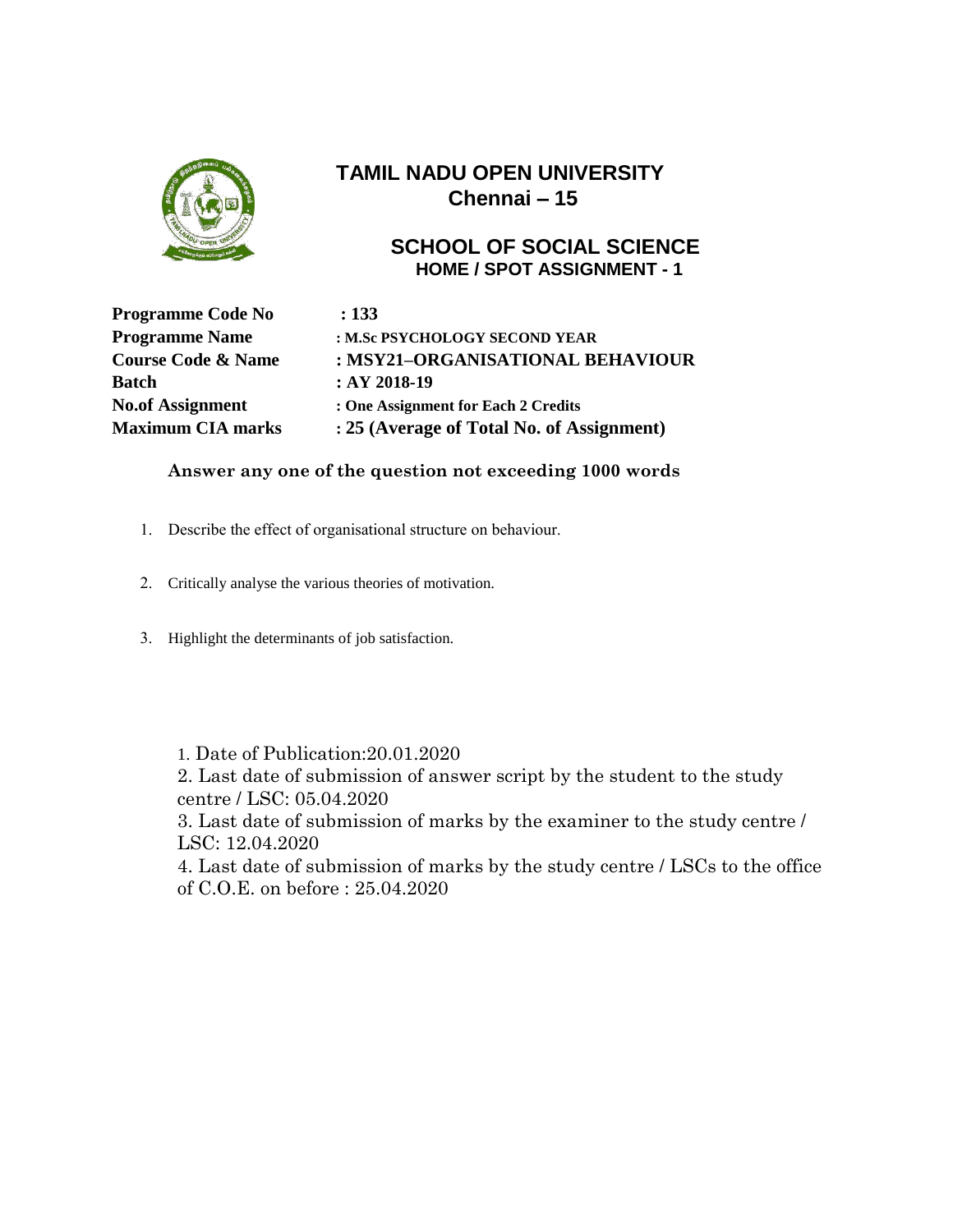

#### **SCHOOL OF SOCIAL SCIENCE HOME / SPOT ASSIGNMENT - 1**

**Programme Code No : 133 Batch : AY** 2018-19

**Programme Name : M.Sc PSYCHOLOGY SECOND YEAR Course Code & Name : MSY21–ORGANISATIONAL BEHAVIOUR No.of Assignment : One Assignment for Each 2 Credits Maximum CIA marks : 25 (Average of Total No. of Assignment)**

#### **Answer any one of the question not exceeding 1000 words**

- 1. Describe the effect of organisational structure on behaviour.
- 2. Critically analyse the various theories of motivation.
- 3. Highlight the determinants of job satisfaction.

1. Date of Publication:20.01.2020

2. Last date of submission of answer script by the student to the study centre / LSC: 05.04.2020

3. Last date of submission of marks by the examiner to the study centre / LSC: 12.04.2020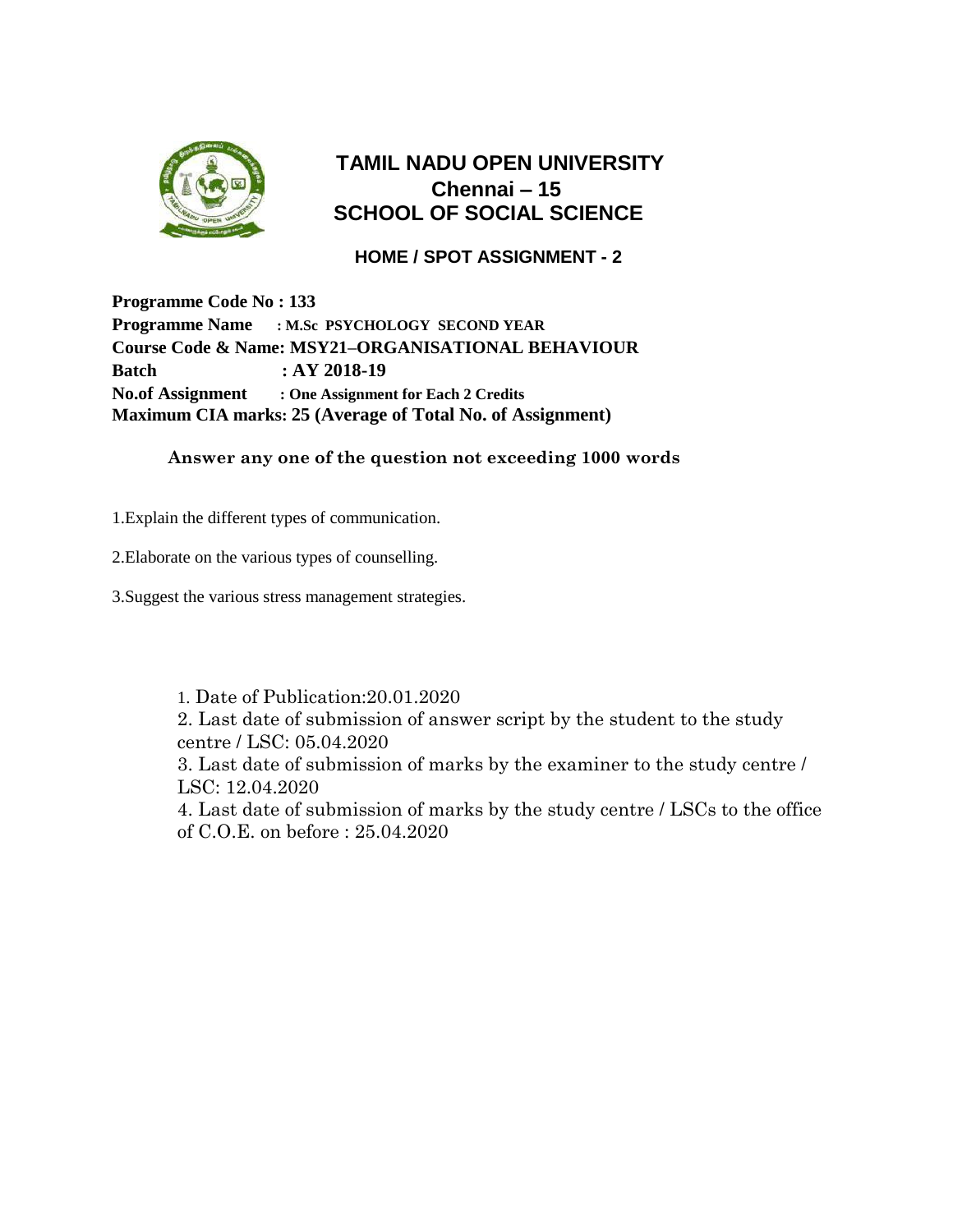

## **TAMIL NADU OPEN UNIVERSITY Chennai – 15 SCHOOL OF SOCIAL SCIENCE**

### **HOME / SPOT ASSIGNMENT - 2**

**Programme Code No : 133 Programme Name : M.Sc PSYCHOLOGY SECOND YEAR Course Code & Name: MSY21–ORGANISATIONAL BEHAVIOUR Batch : AY 2018-19 No.of Assignment : One Assignment for Each 2 Credits Maximum CIA marks: 25 (Average of Total No. of Assignment)**

#### **Answer any one of the question not exceeding 1000 words**

1.Explain the different types of communication.

2.Elaborate on the various types of counselling.

3.Suggest the various stress management strategies.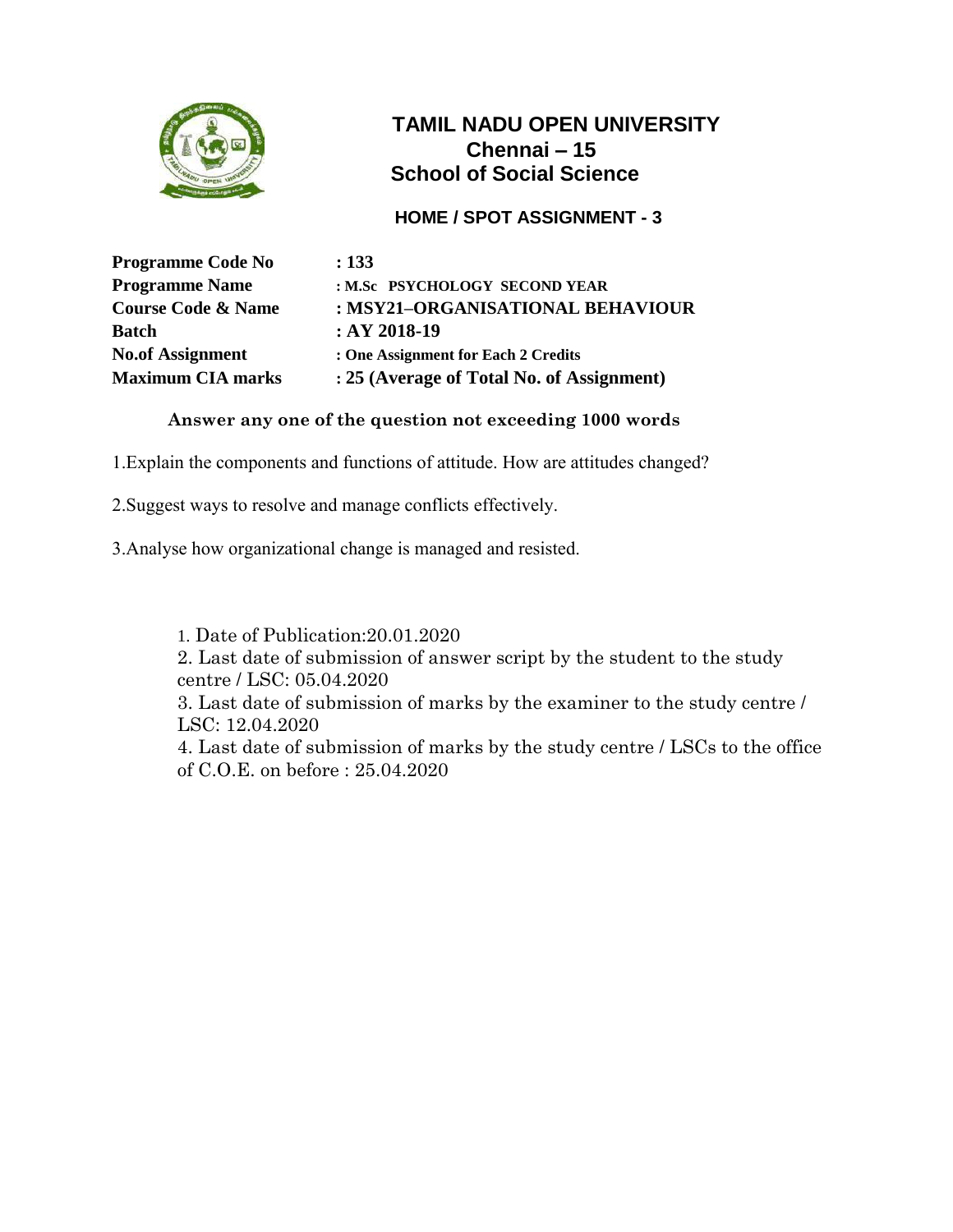

### **HOME / SPOT ASSIGNMENT - 3**

| <b>Programme Code No</b>      | : 133                                     |
|-------------------------------|-------------------------------------------|
| <b>Programme Name</b>         | : M.Sc PSYCHOLOGY SECOND YEAR             |
| <b>Course Code &amp; Name</b> | : MSY21-ORGANISATIONAL BEHAVIOUR          |
| <b>Batch</b>                  | $:AY 2018-19$                             |
| <b>No.of Assignment</b>       | : One Assignment for Each 2 Credits       |
| <b>Maximum CIA marks</b>      | : 25 (Average of Total No. of Assignment) |

### **Answer any one of the question not exceeding 1000 words**

1.Explain the components and functions of attitude. How are attitudes changed?

2.Suggest ways to resolve and manage conflicts effectively.

3.Analyse how organizational change is managed and resisted.

1. Date of Publication:20.01.2020

2. Last date of submission of answer script by the student to the study centre / LSC: 05.04.2020

3. Last date of submission of marks by the examiner to the study centre / LSC: 12.04.2020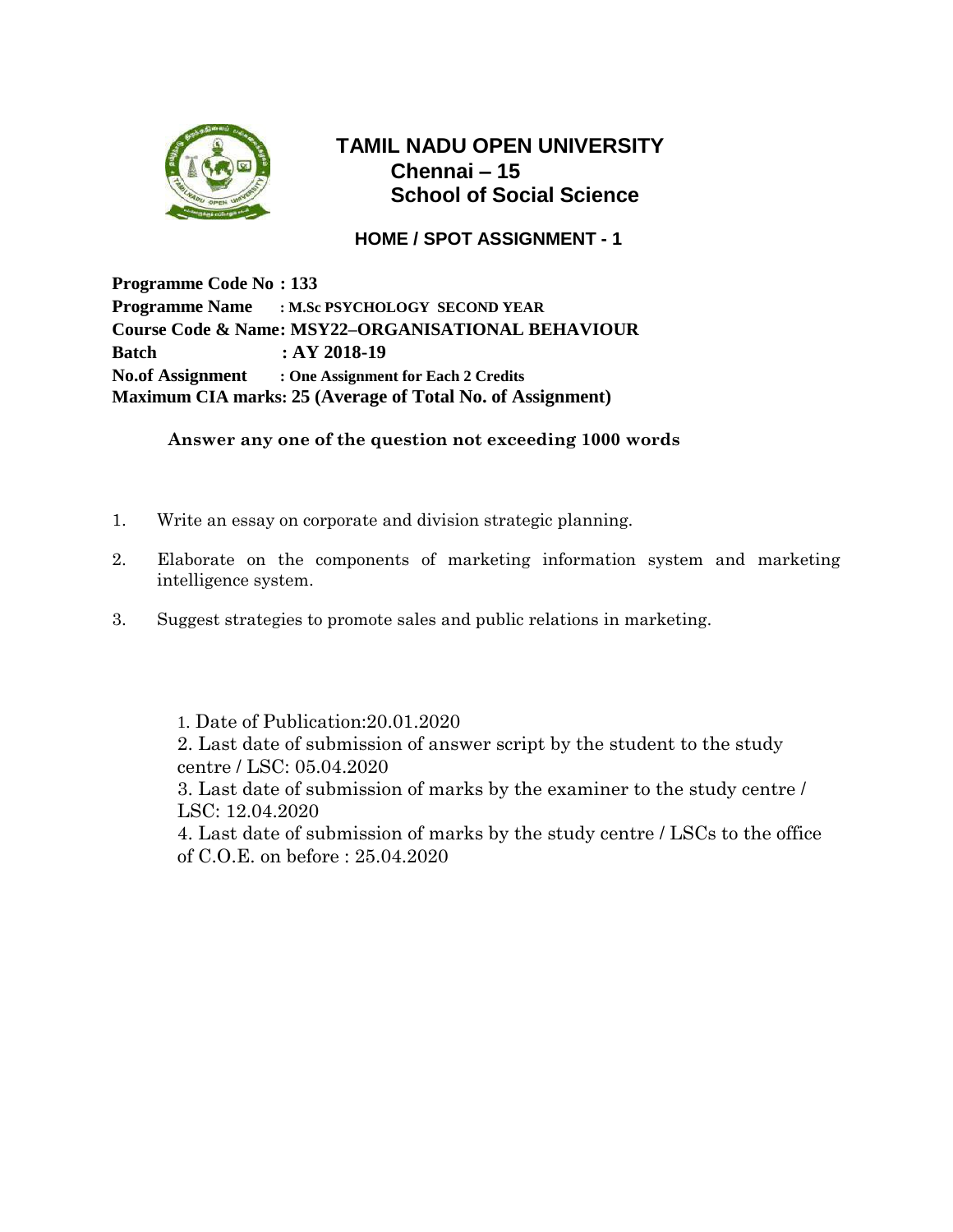

#### **HOME / SPOT ASSIGNMENT - 1**

**Programme Code No : 133 Programme Name : M.Sc PSYCHOLOGY SECOND YEAR Course Code & Name: MSY22–ORGANISATIONAL BEHAVIOUR Batch : AY 2018-19 No.of Assignment : One Assignment for Each 2 Credits Maximum CIA marks: 25 (Average of Total No. of Assignment)**

**Answer any one of the question not exceeding 1000 words**

- 1. Write an essay on corporate and division strategic planning.
- 2. Elaborate on the components of marketing information system and marketing intelligence system.
- 3. Suggest strategies to promote sales and public relations in marketing.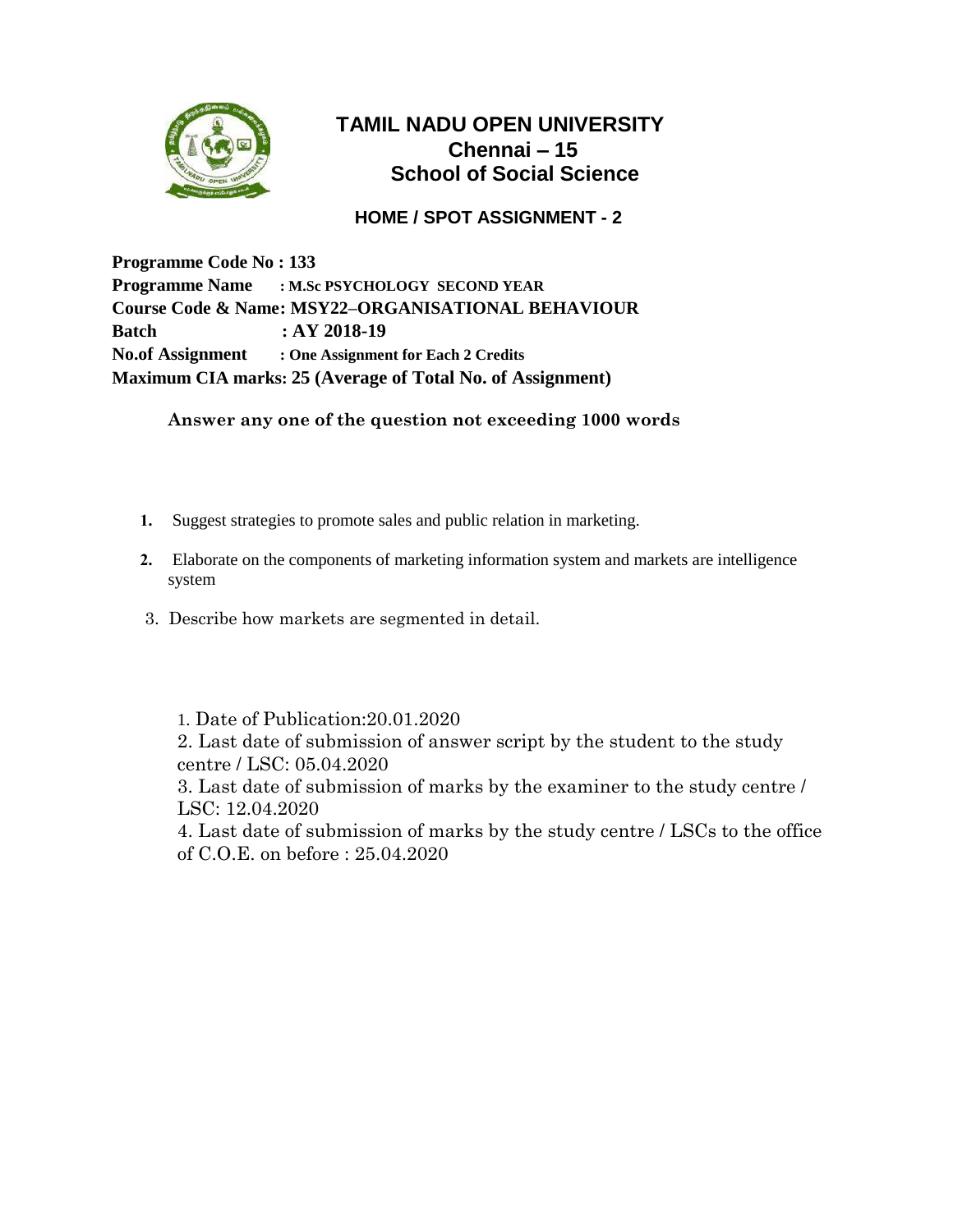

#### **HOME / SPOT ASSIGNMENT - 2**

**Programme Code No : 133 Programme Name : M.Sc PSYCHOLOGY SECOND YEAR Course Code & Name: MSY22–ORGANISATIONAL BEHAVIOUR Batch : AY 2018-19 No.of Assignment : One Assignment for Each 2 Credits Maximum CIA marks: 25 (Average of Total No. of Assignment)**

**Answer any one of the question not exceeding 1000 words**

- **1.** Suggest strategies to promote sales and public relation in marketing.
- **2.** Elaborate on the components of marketing information system and markets are intelligence system
- 3. Describe how markets are segmented in detail.

1. Date of Publication:20.01.2020 2. Last date of submission of answer script by the student to the study centre / LSC: 05.04.2020

3. Last date of submission of marks by the examiner to the study centre / LSC: 12.04.2020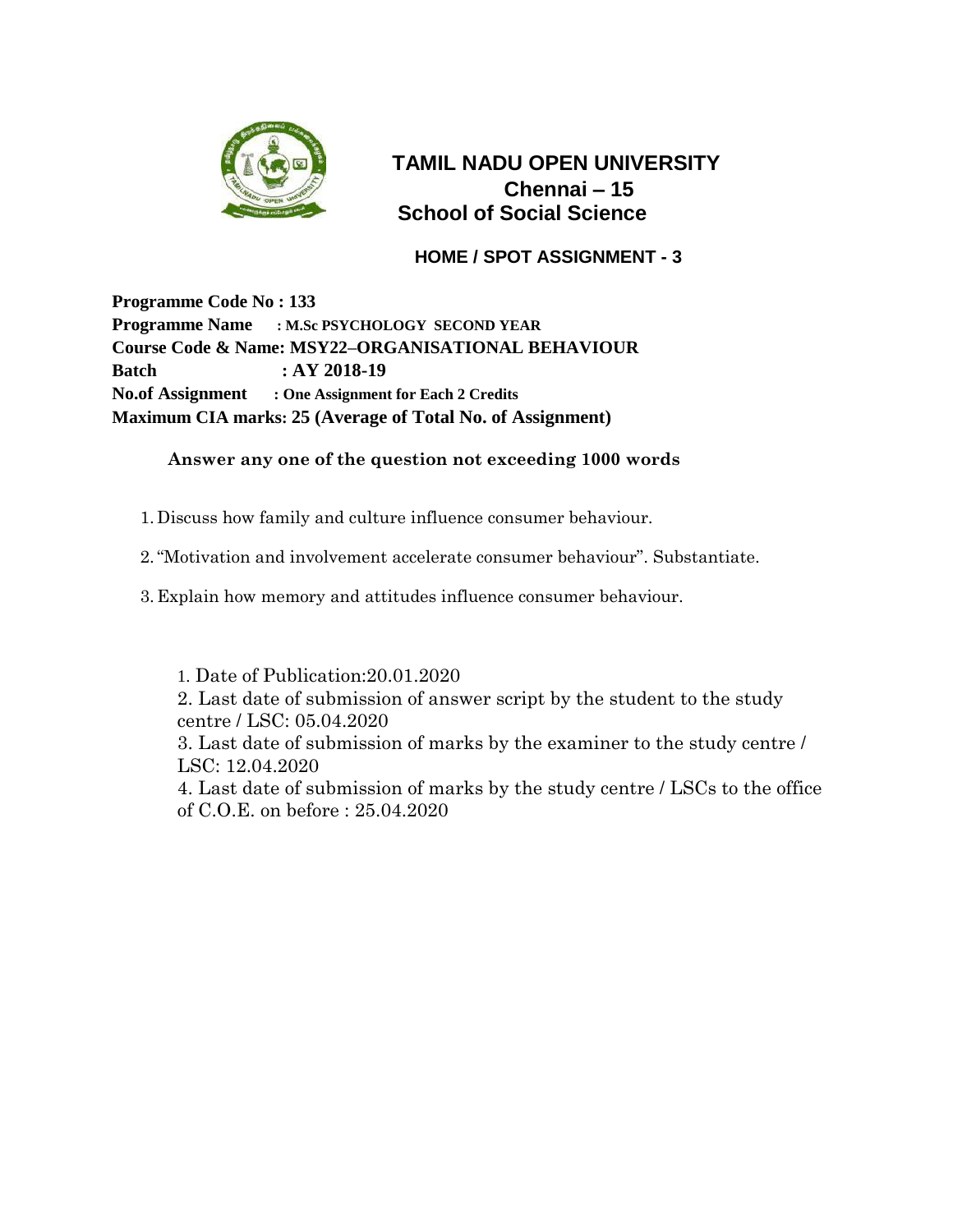

 **HOME / SPOT ASSIGNMENT - 3**

**Programme Code No : 133 Programme Name : M.Sc PSYCHOLOGY SECOND YEAR Course Code & Name: MSY22–ORGANISATIONAL BEHAVIOUR Batch : AY 2018-19 No.of Assignment : One Assignment for Each 2 Credits Maximum CIA marks: 25 (Average of Total No. of Assignment)**

#### **Answer any one of the question not exceeding 1000 words**

- 1. Discuss how family and culture influence consumer behaviour.
- 2."Motivation and involvement accelerate consumer behaviour". Substantiate.
- 3. Explain how memory and attitudes influence consumer behaviour.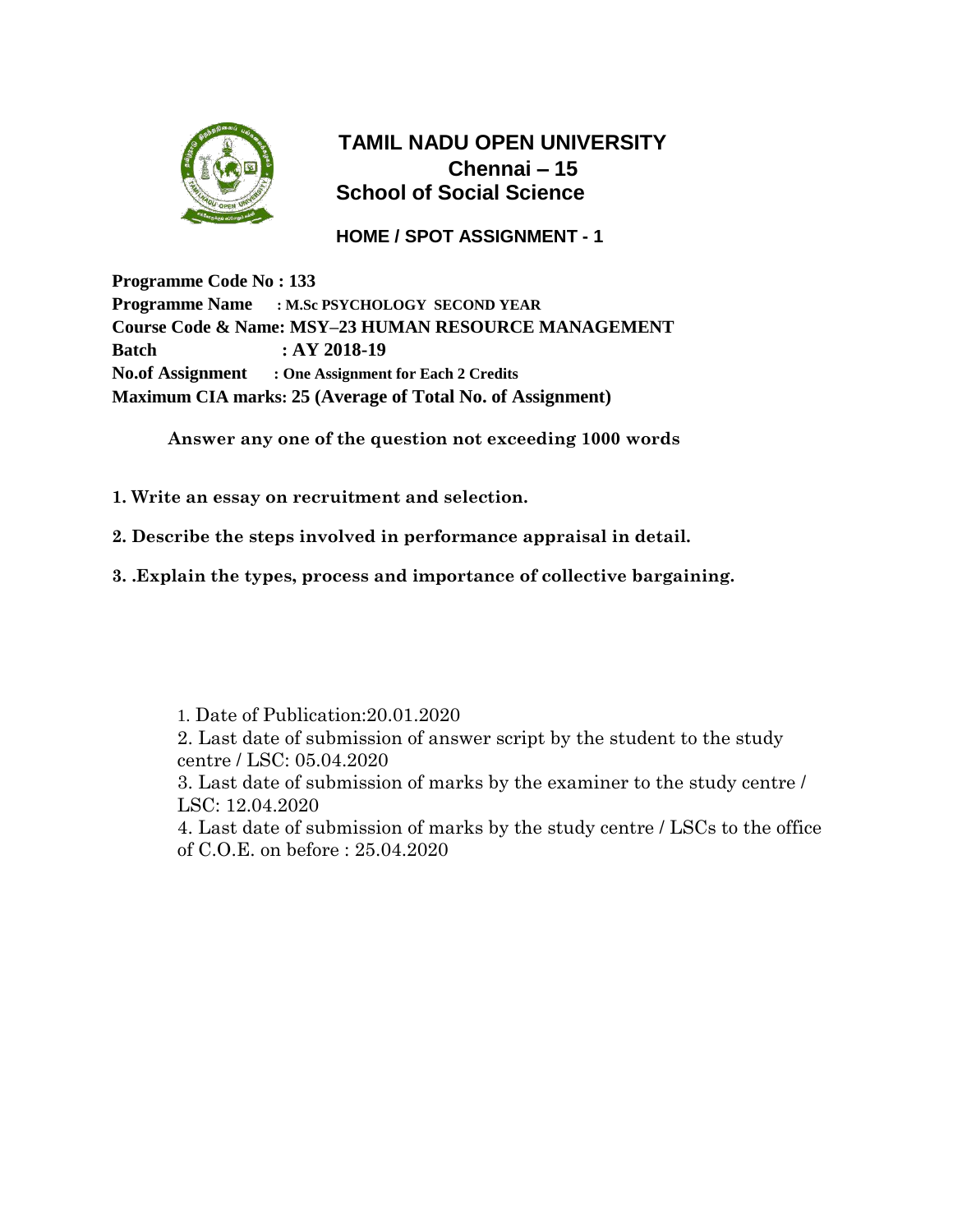

### **HOME / SPOT ASSIGNMENT - 1**

**Programme Code No : 133 Programme Name : M.Sc PSYCHOLOGY SECOND YEAR Course Code & Name: MSY–23 HUMAN RESOURCE MANAGEMENT Batch : AY 2018-19 No.of Assignment : One Assignment for Each 2 Credits Maximum CIA marks: 25 (Average of Total No. of Assignment)**

**Answer any one of the question not exceeding 1000 words**

- **1. Write an essay on recruitment and selection.**
- **2. Describe the steps involved in performance appraisal in detail.**
- **3. .Explain the types, process and importance of collective bargaining.**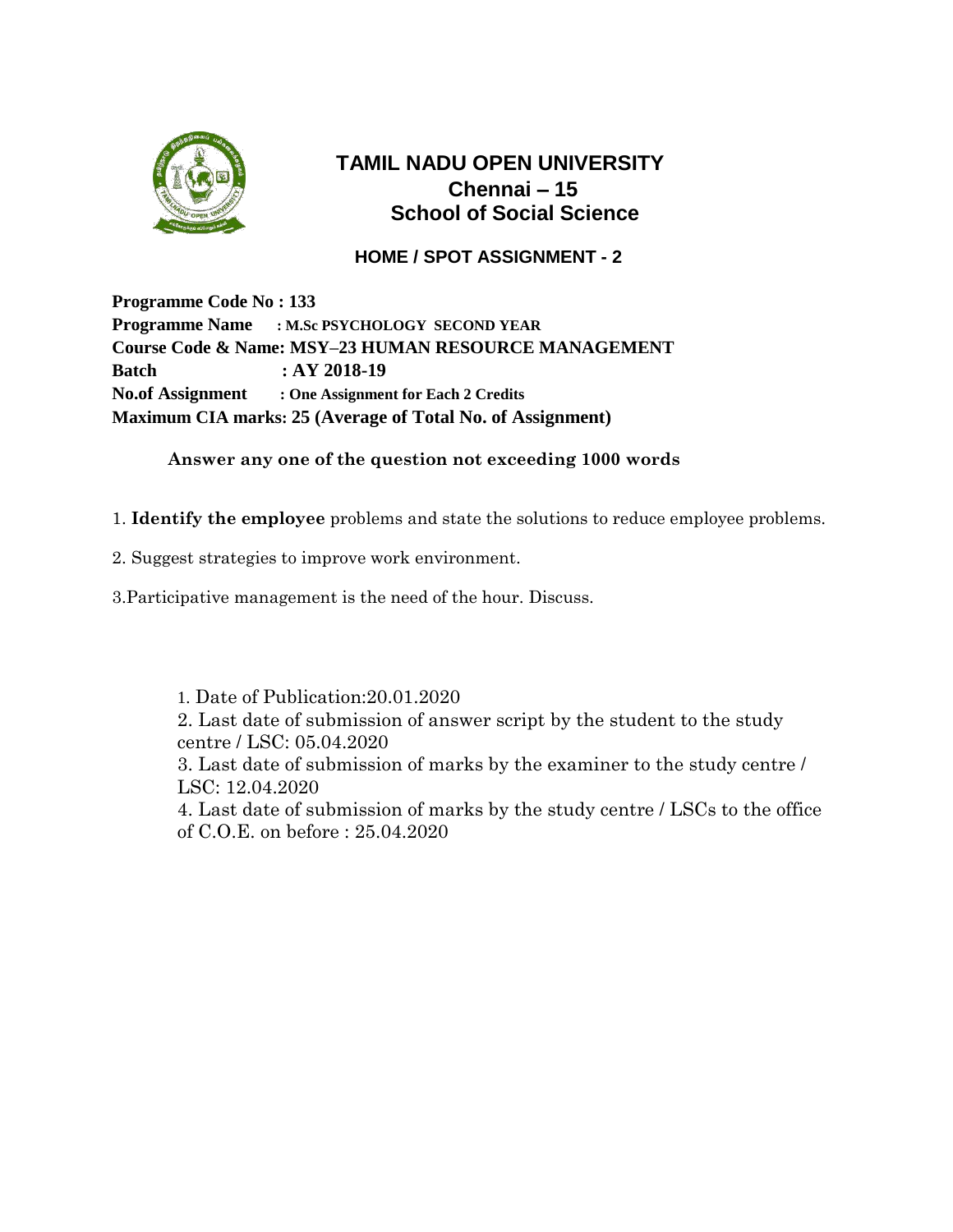

### **HOME / SPOT ASSIGNMENT - 2**

**Programme Code No : 133 Programme Name : M.Sc PSYCHOLOGY SECOND YEAR Course Code & Name: MSY–23 HUMAN RESOURCE MANAGEMENT Batch : AY 2018-19 No.of Assignment : One Assignment for Each 2 Credits Maximum CIA marks: 25 (Average of Total No. of Assignment)**

#### **Answer any one of the question not exceeding 1000 words**

1. **Identify the employee** problems and state the solutions to reduce employee problems.

2. Suggest strategies to improve work environment.

3.Participative management is the need of the hour. Discuss.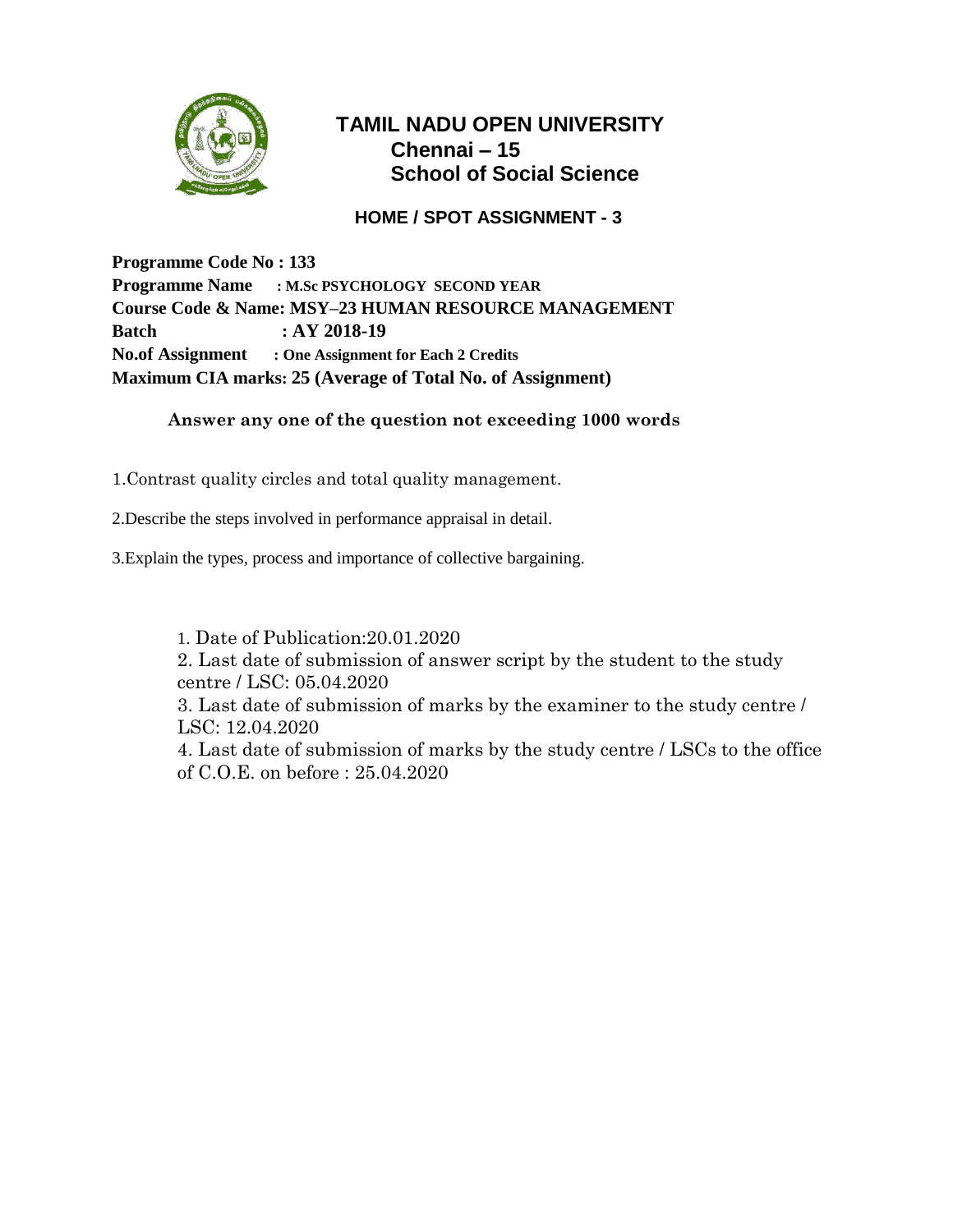

### **HOME / SPOT ASSIGNMENT - 3**

**Programme Code No : 133 Programme Name : M.Sc PSYCHOLOGY SECOND YEAR Course Code & Name: MSY–23 HUMAN RESOURCE MANAGEMENT Batch : AY 2018-19 No.of Assignment : One Assignment for Each 2 Credits Maximum CIA marks: 25 (Average of Total No. of Assignment)**

#### **Answer any one of the question not exceeding 1000 words**

1.Contrast quality circles and total quality management.

2.Describe the steps involved in performance appraisal in detail.

3.Explain the types, process and importance of collective bargaining.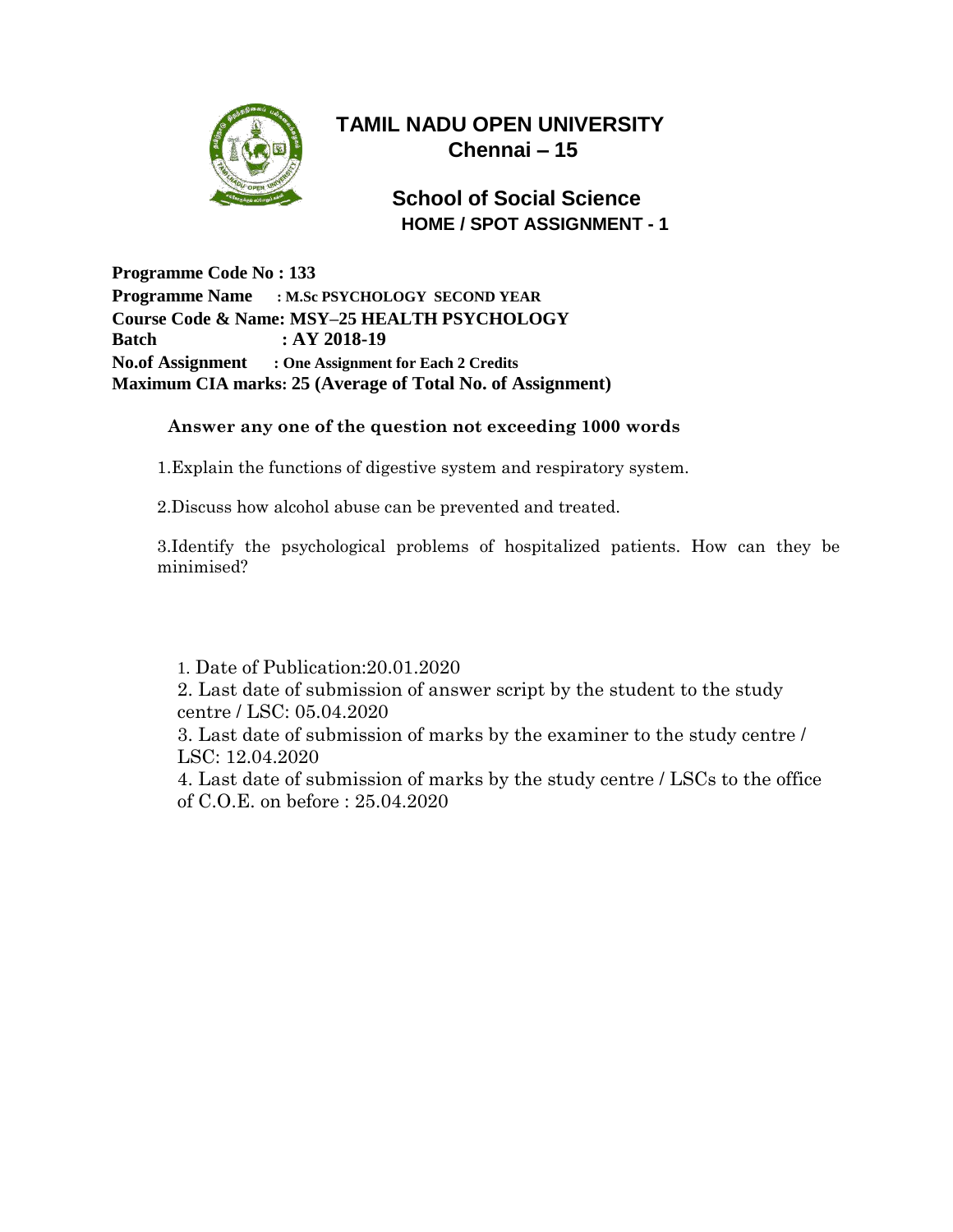

## **School of Social Science HOME / SPOT ASSIGNMENT - 1**

**Programme Code No : 133 Programme Name : M.Sc PSYCHOLOGY SECOND YEAR Course Code & Name: MSY–25 HEALTH PSYCHOLOGY Batch : AY 2018-19 No.of Assignment : One Assignment for Each 2 Credits Maximum CIA marks: 25 (Average of Total No. of Assignment)**

#### **Answer any one of the question not exceeding 1000 words**

1.Explain the functions of digestive system and respiratory system.

2.Discuss how alcohol abuse can be prevented and treated.

3.Identify the psychological problems of hospitalized patients. How can they be minimised?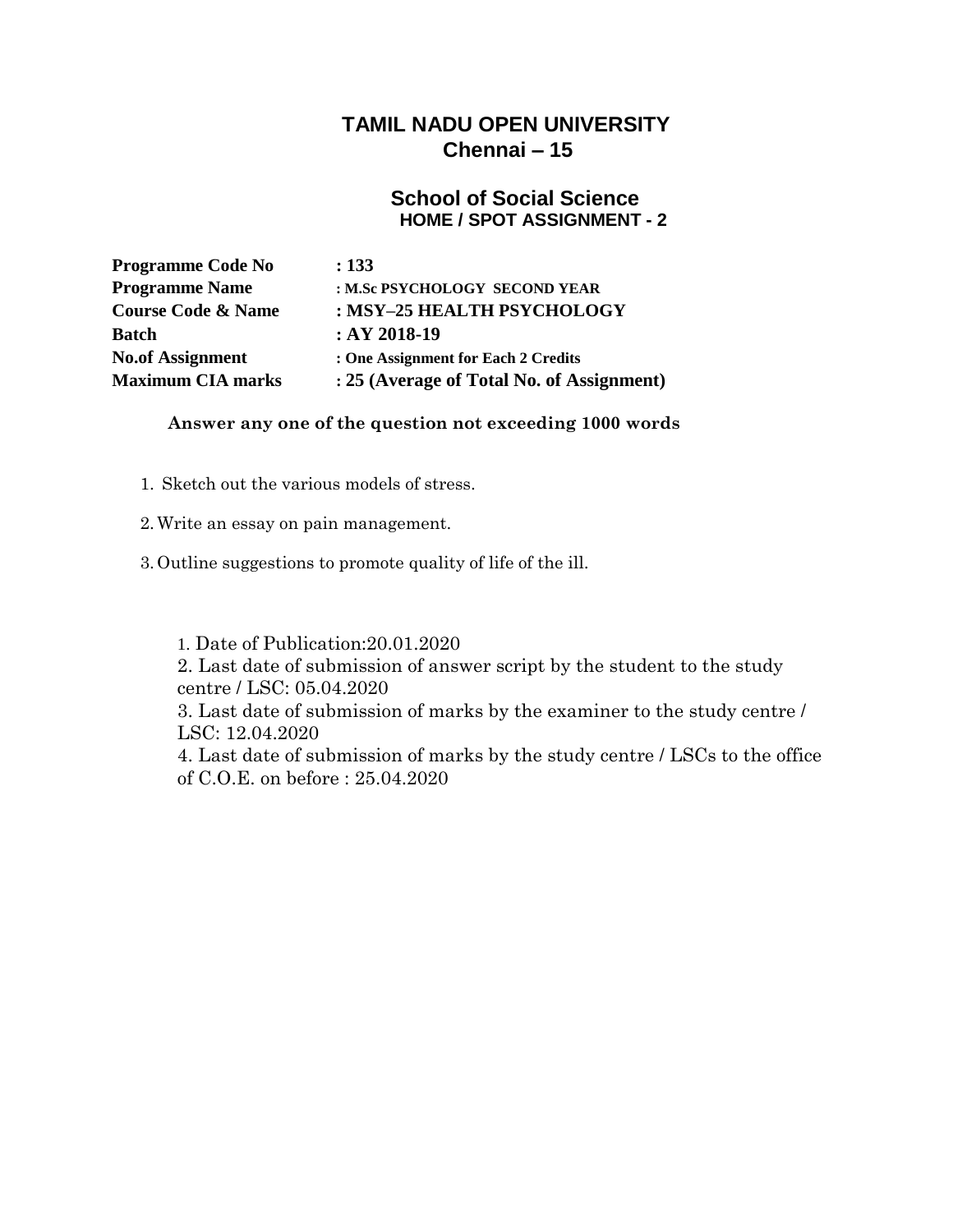#### **School of Social Science HOME / SPOT ASSIGNMENT - 2**

| <b>Programme Code No</b>      | : 133                                     |
|-------------------------------|-------------------------------------------|
| <b>Programme Name</b>         | : M.Sc PSYCHOLOGY SECOND YEAR             |
| <b>Course Code &amp; Name</b> | : MSY-25 HEALTH PSYCHOLOGY                |
| <b>Batch</b>                  | $:AY 2018-19$                             |
| <b>No.of Assignment</b>       | : One Assignment for Each 2 Credits       |
| <b>Maximum CIA marks</b>      | : 25 (Average of Total No. of Assignment) |

#### **Answer any one of the question not exceeding 1000 words**

- 1. Sketch out the various models of stress.
- 2.Write an essay on pain management.
- 3. Outline suggestions to promote quality of life of the ill.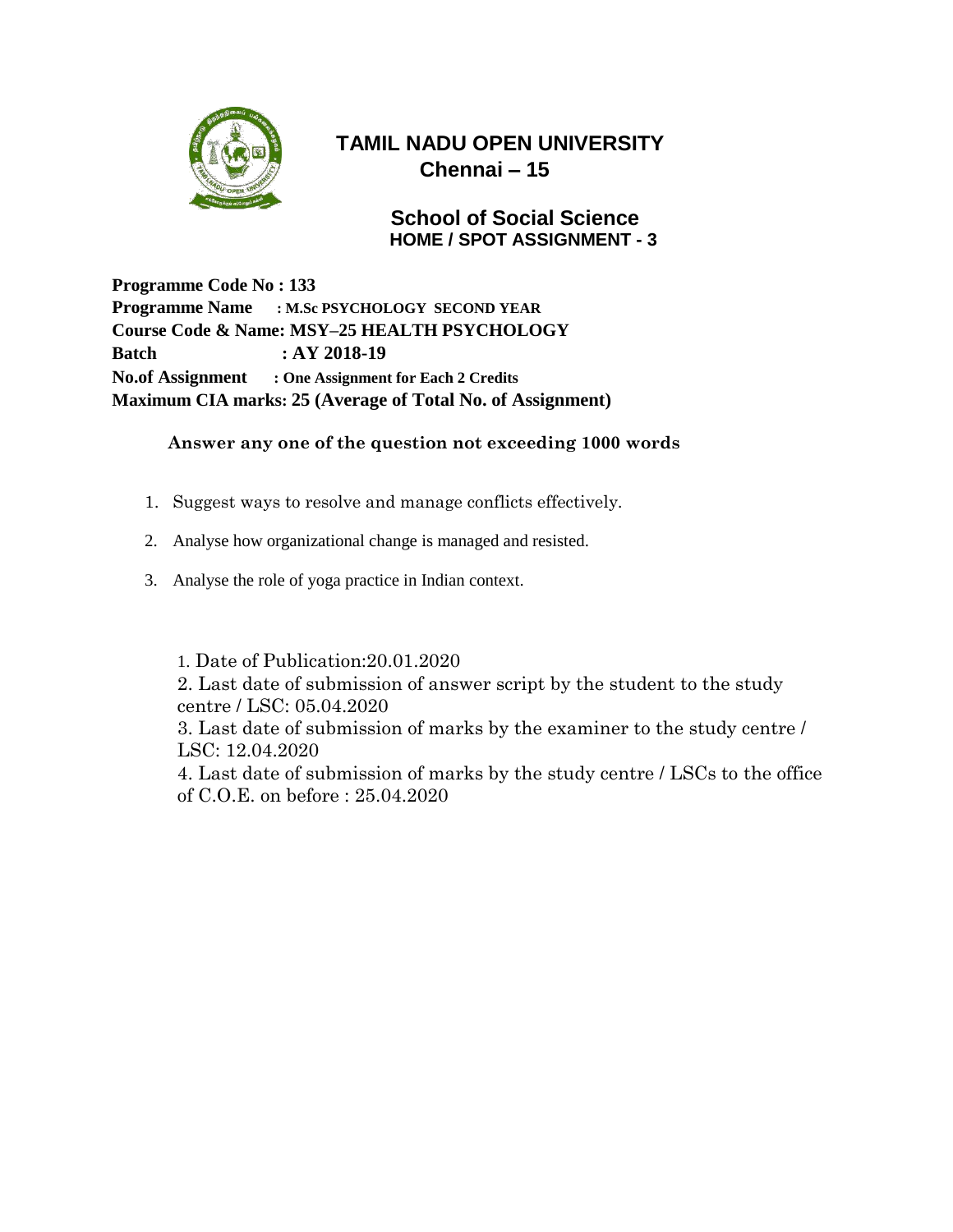

### **School of Social Science HOME / SPOT ASSIGNMENT - 3**

**Programme Code No : 133 Programme Name : M.Sc PSYCHOLOGY SECOND YEAR Course Code & Name: MSY–25 HEALTH PSYCHOLOGY Batch : AY 2018-19 No.of Assignment : One Assignment for Each 2 Credits Maximum CIA marks: 25 (Average of Total No. of Assignment)**

#### **Answer any one of the question not exceeding 1000 words**

- 1. Suggest ways to resolve and manage conflicts effectively.
- 2. Analyse how organizational change is managed and resisted.
- 3. Analyse the role of yoga practice in Indian context.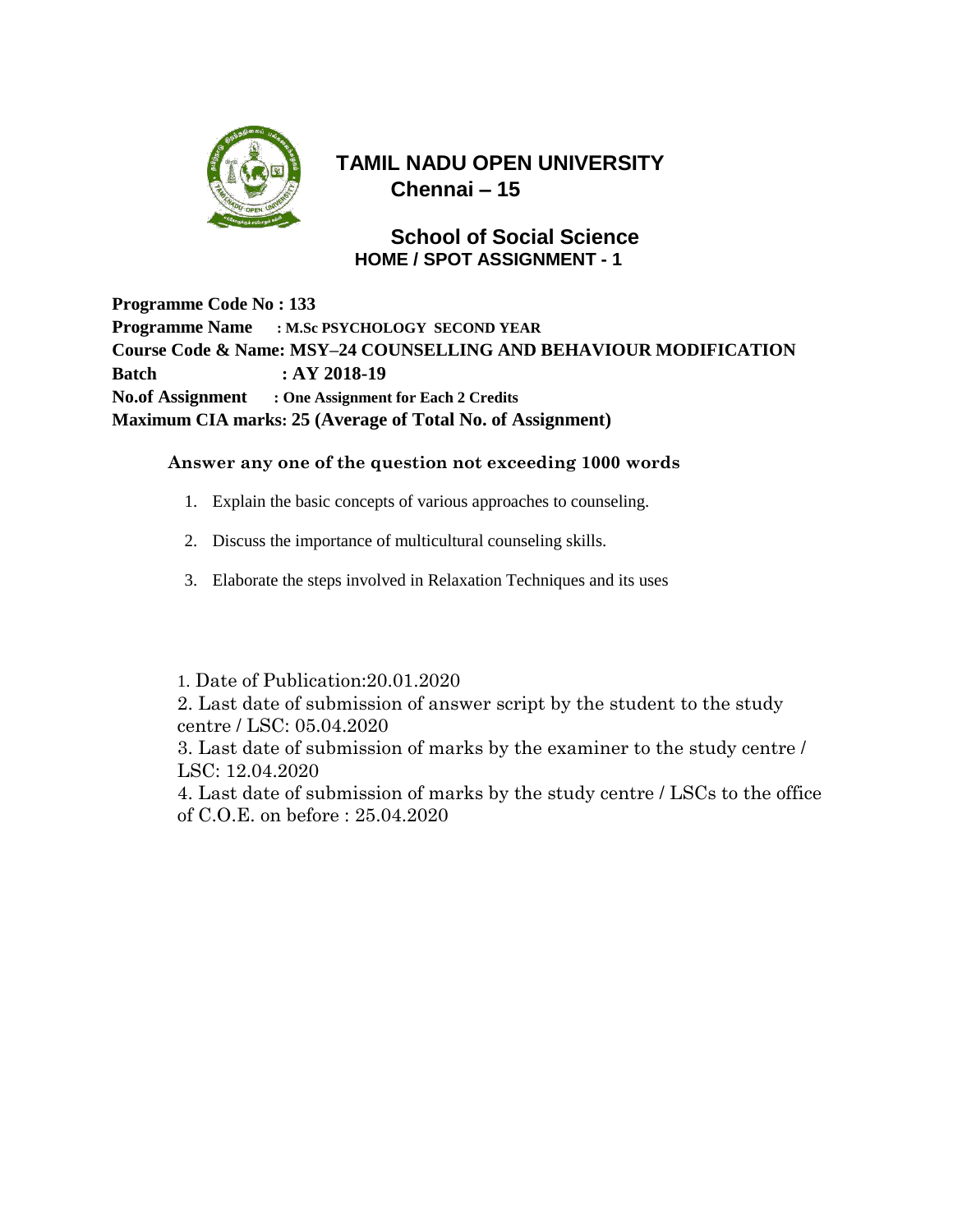

### **School of Social Science HOME / SPOT ASSIGNMENT - 1**

**Programme Code No : 133 Programme Name : M.Sc PSYCHOLOGY SECOND YEAR Course Code & Name: MSY–24 COUNSELLING AND BEHAVIOUR MODIFICATION Batch : AY 2018-19 No.of Assignment : One Assignment for Each 2 Credits Maximum CIA marks: 25 (Average of Total No. of Assignment)**

#### **Answer any one of the question not exceeding 1000 words**

- 1. Explain the basic concepts of various approaches to counseling.
- 2. Discuss the importance of multicultural counseling skills.
- 3. Elaborate the steps involved in Relaxation Techniques and its uses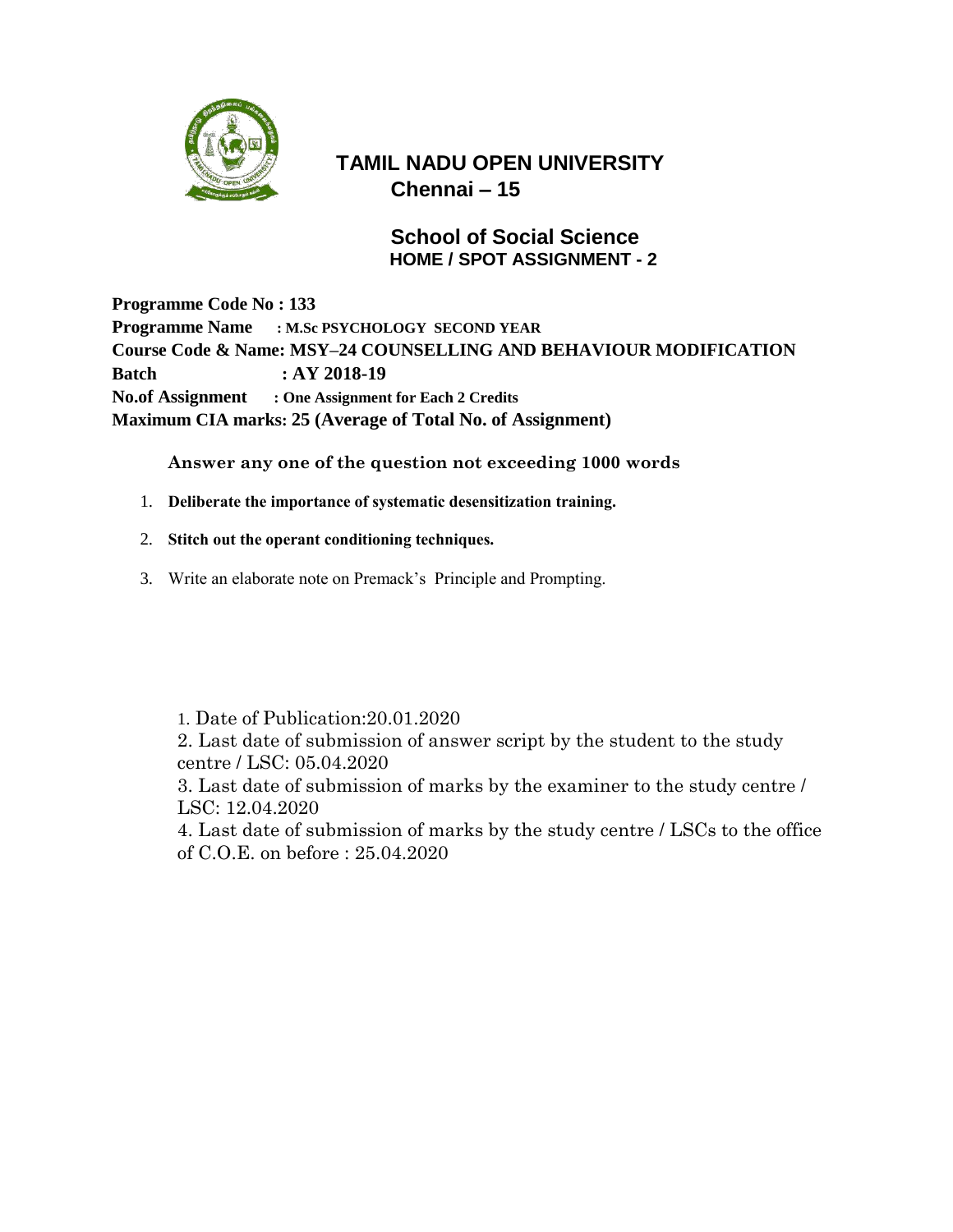

### **School of Social Science HOME / SPOT ASSIGNMENT - 2**

**Programme Code No : 133 Programme Name : M.Sc PSYCHOLOGY SECOND YEAR Course Code & Name: MSY–24 COUNSELLING AND BEHAVIOUR MODIFICATION Batch : AY 2018-19 No.of Assignment : One Assignment for Each 2 Credits Maximum CIA marks: 25 (Average of Total No. of Assignment)**

**Answer any one of the question not exceeding 1000 words**

- 1. **Deliberate the importance of systematic desensitization training.**
- 2. **Stitch out the operant conditioning techniques.**
- 3. Write an elaborate note on Premack's Principle and Prompting.